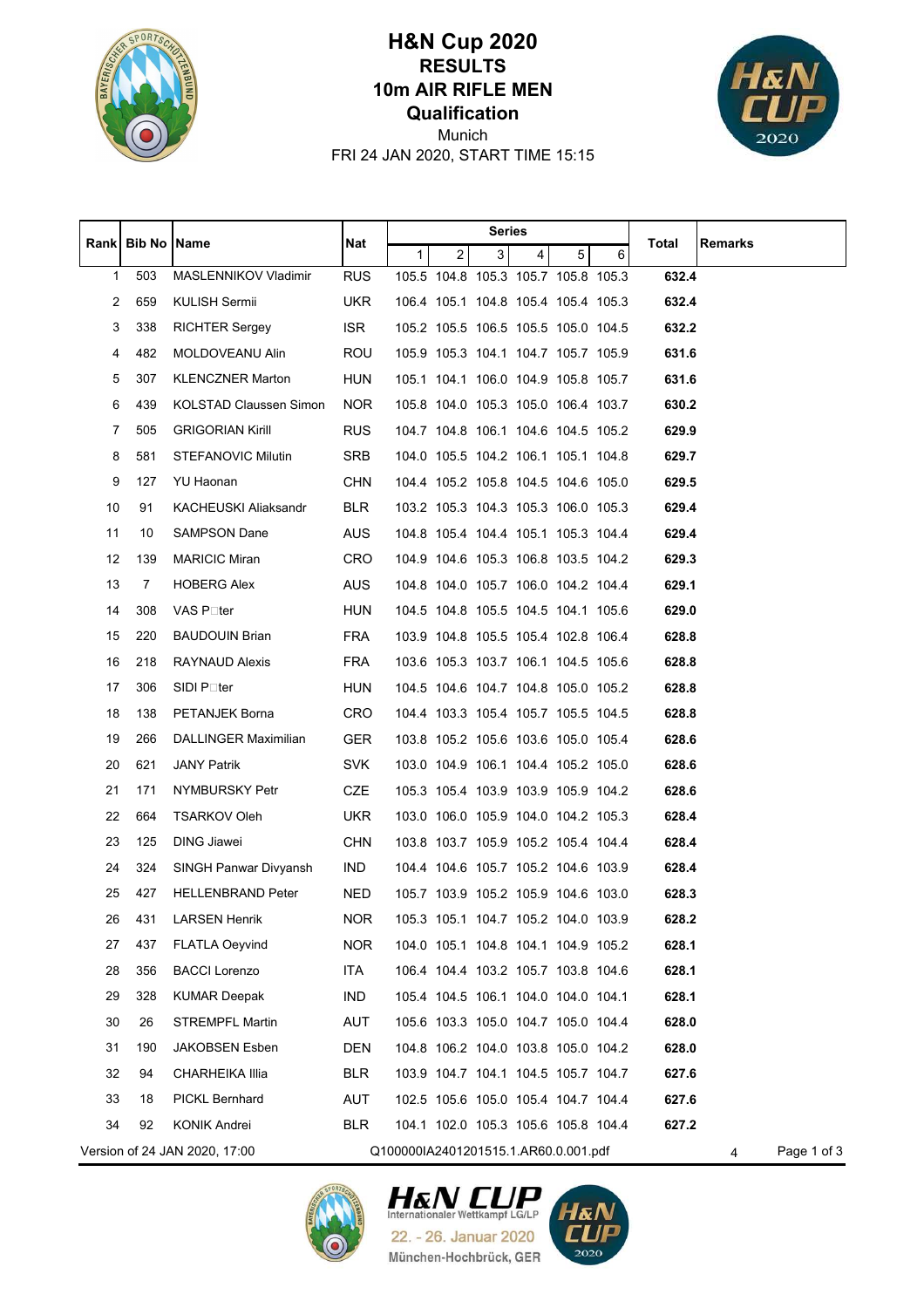

## **Qualification 10m AIR RIFLE MEN RESULTS H&N Cup 2020**



FRI 24 JAN 2020, START TIME 15:15 Munich

|    |                      |                               |            | <b>Series</b>                        |                |                |                                     |   |                                     |       |                  |
|----|----------------------|-------------------------------|------------|--------------------------------------|----------------|----------------|-------------------------------------|---|-------------------------------------|-------|------------------|
|    | Rank   Bib No   Name |                               | Nat        | $\mathbf{1}$                         | $\overline{c}$ | 3 <sup>1</sup> | $\overline{\mathbf{4}}$             | 5 | 6                                   | Total | Remarks          |
| 1  | 503                  | MASLENNIKOV Vladimir          | <b>RUS</b> |                                      |                |                |                                     |   | 105.5 104.8 105.3 105.7 105.8 105.3 | 632.4 |                  |
| 2  | 659                  | KULISH Sermii                 | <b>UKR</b> |                                      |                |                |                                     |   | 106.4 105.1 104.8 105.4 105.4 105.3 | 632.4 |                  |
| 3  | 338                  | RICHTER Sergey                | <b>ISR</b> |                                      |                |                |                                     |   | 105.2 105.5 106.5 105.5 105.0 104.5 | 632.2 |                  |
| 4  | 482                  | MOLDOVEANU Alin               | ROU        |                                      |                |                |                                     |   | 105.9 105.3 104.1 104.7 105.7 105.9 | 631.6 |                  |
| 5  | 307                  | <b>KLENCZNER Marton</b>       | <b>HUN</b> |                                      |                |                |                                     |   | 105.1 104.1 106.0 104.9 105.8 105.7 | 631.6 |                  |
| 6  | 439                  | <b>KOLSTAD Claussen Simon</b> | NOR.       |                                      |                |                | 105.8 104.0 105.3 105.0 106.4 103.7 |   |                                     | 630.2 |                  |
| 7  | 505                  | <b>GRIGORIAN Kirill</b>       | <b>RUS</b> |                                      |                |                |                                     |   | 104.7 104.8 106.1 104.6 104.5 105.2 | 629.9 |                  |
| 8  | 581                  | STEFANOVIC Milutin            | <b>SRB</b> |                                      |                |                | 104.0 105.5 104.2 106.1 105.1 104.8 |   |                                     | 629.7 |                  |
| 9  | 127                  | YU Haonan                     | <b>CHN</b> |                                      |                |                |                                     |   | 104.4 105.2 105.8 104.5 104.6 105.0 | 629.5 |                  |
| 10 | 91                   | KACHEUSKI Aliaksandr          | <b>BLR</b> |                                      |                |                |                                     |   | 103.2 105.3 104.3 105.3 106.0 105.3 | 629.4 |                  |
| 11 | 10                   | <b>SAMPSON Dane</b>           | AUS.       |                                      |                |                | 104.8 105.4 104.4 105.1 105.3 104.4 |   |                                     | 629.4 |                  |
| 12 | 139                  | <b>MARICIC Miran</b>          | <b>CRO</b> |                                      |                |                |                                     |   | 104.9 104.6 105.3 106.8 103.5 104.2 | 629.3 |                  |
| 13 | 7                    | <b>HOBERG Alex</b>            | AUS        |                                      |                |                | 104.8 104.0 105.7 106.0 104.2 104.4 |   |                                     | 629.1 |                  |
| 14 | 308                  | VAS P⊡ter                     | <b>HUN</b> |                                      |                |                |                                     |   | 104.5 104.8 105.5 104.5 104.1 105.6 | 629.0 |                  |
| 15 | 220                  | <b>BAUDOUIN Brian</b>         | <b>FRA</b> |                                      |                |                | 103.9 104.8 105.5 105.4 102.8 106.4 |   |                                     | 628.8 |                  |
| 16 | 218                  | <b>RAYNAUD Alexis</b>         | <b>FRA</b> |                                      |                |                | 103.6 105.3 103.7 106.1 104.5 105.6 |   |                                     | 628.8 |                  |
| 17 | 306                  | SIDI P⊡ter                    | <b>HUN</b> |                                      |                |                |                                     |   | 104.5 104.6 104.7 104.8 105.0 105.2 | 628.8 |                  |
| 18 | 138                  | PETANJEK Borna                | <b>CRO</b> |                                      |                |                |                                     |   | 104.4 103.3 105.4 105.7 105.5 104.5 | 628.8 |                  |
| 19 | 266                  | DALLINGER Maximilian          | <b>GER</b> |                                      |                |                |                                     |   | 103.8 105.2 105.6 103.6 105.0 105.4 | 628.6 |                  |
| 20 | 621                  | <b>JANY Patrik</b>            | <b>SVK</b> |                                      |                |                |                                     |   | 103.0 104.9 106.1 104.4 105.2 105.0 | 628.6 |                  |
| 21 | 171                  | NYMBURSKY Petr                | CZE        |                                      |                |                | 105.3 105.4 103.9 103.9 105.9 104.2 |   |                                     | 628.6 |                  |
| 22 | 664                  | <b>TSARKOV Oleh</b>           | UKR.       |                                      |                |                |                                     |   | 103.0 106.0 105.9 104.0 104.2 105.3 | 628.4 |                  |
| 23 | 125                  | DING Jiawei                   | <b>CHN</b> |                                      |                |                |                                     |   | 103.8 103.7 105.9 105.2 105.4 104.4 | 628.4 |                  |
| 24 | 324                  | SINGH Panwar Divyansh         | IND        |                                      |                |                | 104.4 104.6 105.7 105.2 104.6 103.9 |   |                                     | 628.4 |                  |
| 25 | 427                  | <b>HELLENBRAND Peter</b>      | <b>NED</b> |                                      |                |                | 105.7 103.9 105.2 105.9 104.6 103.0 |   |                                     | 628.3 |                  |
| 26 | 431                  | <b>LARSEN Henrik</b>          | <b>NOR</b> |                                      |                |                | 105.3 105.1 104.7 105.2 104.0 103.9 |   |                                     | 628.2 |                  |
| 27 | 437                  | <b>FLATLA Oeyvind</b>         | <b>NOR</b> |                                      |                |                | 104.0 105.1 104.8 104.1 104.9 105.2 |   |                                     | 628.1 |                  |
| 28 | 356                  | <b>BACCI Lorenzo</b>          | ITA        |                                      |                |                | 106.4 104.4 103.2 105.7 103.8 104.6 |   |                                     | 628.1 |                  |
| 29 | 328                  | <b>KUMAR Deepak</b>           | <b>IND</b> |                                      |                |                | 105.4 104.5 106.1 104.0 104.0 104.1 |   |                                     | 628.1 |                  |
| 30 | 26                   | <b>STREMPFL Martin</b>        | AUT        |                                      |                |                | 105.6 103.3 105.0 104.7 105.0 104.4 |   |                                     | 628.0 |                  |
| 31 | 190                  | <b>JAKOBSEN Esben</b>         | <b>DEN</b> |                                      |                |                | 104.8 106.2 104.0 103.8 105.0 104.2 |   |                                     | 628.0 |                  |
| 32 | 94                   | CHARHEIKA Illia               | <b>BLR</b> |                                      |                |                | 103.9 104.7 104.1 104.5 105.7 104.7 |   |                                     | 627.6 |                  |
| 33 | 18                   | PICKL Bernhard                | AUT        |                                      |                |                | 102.5 105.6 105.0 105.4 104.7 104.4 |   |                                     | 627.6 |                  |
| 34 | 92                   | KONIK Andrei                  | <b>BLR</b> |                                      |                |                | 104.1 102.0 105.3 105.6 105.8 104.4 |   |                                     | 627.2 |                  |
|    |                      | Version of 24 JAN 2020, 17:00 |            | Q100000IA2401201515.1.AR60.0.001.pdf |                |                |                                     |   |                                     |       | Page 1 of 3<br>4 |





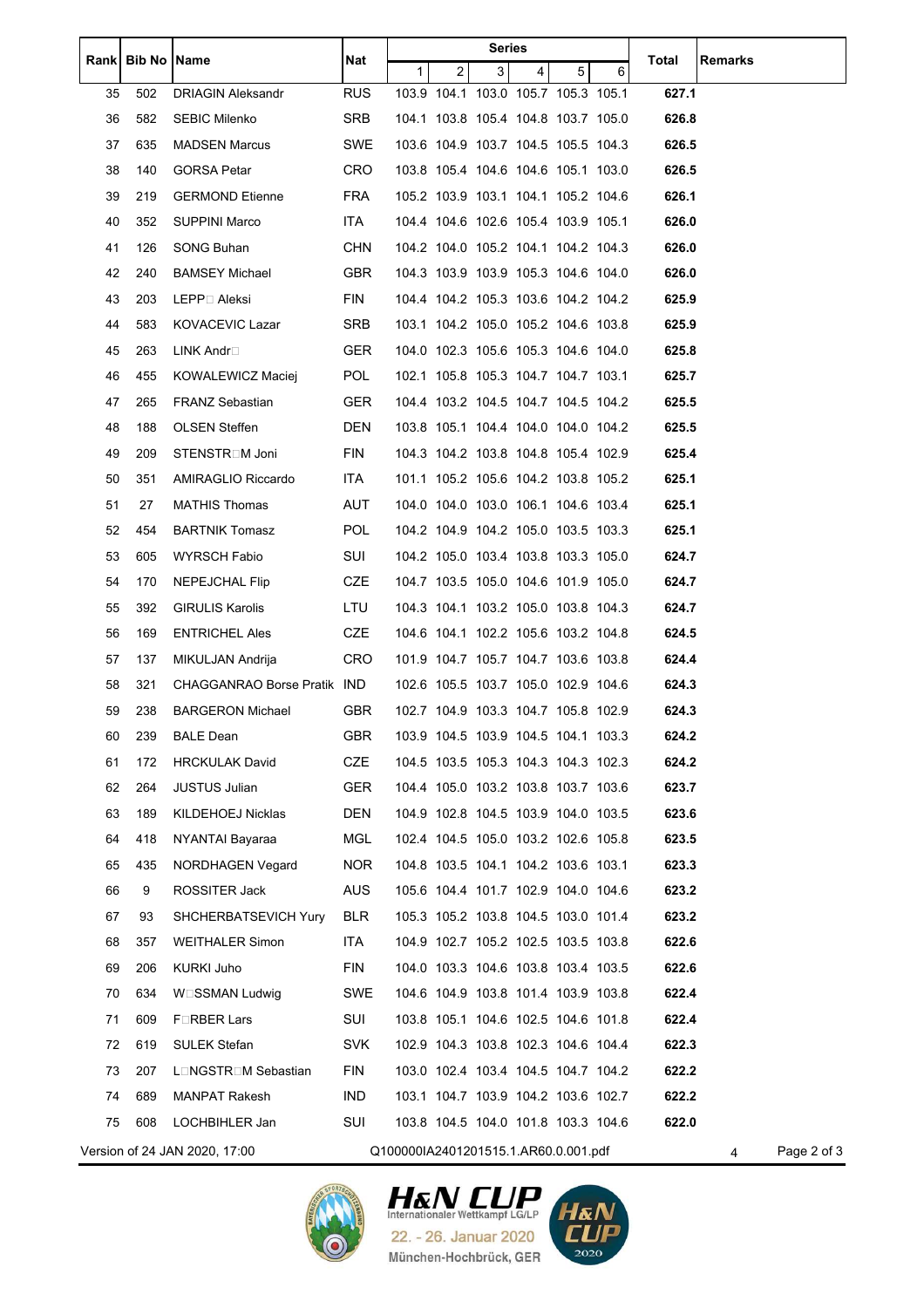|      | <b>Bib No Name</b> |                               | Nat        |                                      |                                     | Series         |                |   |   | Total | Remarks          |
|------|--------------------|-------------------------------|------------|--------------------------------------|-------------------------------------|----------------|----------------|---|---|-------|------------------|
| Rank |                    |                               |            | 1                                    | 2                                   | 3 <sup>1</sup> | $\overline{4}$ | 5 | 6 |       |                  |
| 35   | 502                | <b>DRIAGIN Aleksandr</b>      | <b>RUS</b> |                                      | 103.9 104.1 103.0 105.7 105.3 105.1 |                |                |   |   | 627.1 |                  |
| 36   | 582                | SEBIC Milenko                 | SRB        |                                      | 104.1 103.8 105.4 104.8 103.7 105.0 |                |                |   |   | 626.8 |                  |
| 37   | 635                | <b>MADSEN Marcus</b>          | SWE        |                                      | 103.6 104.9 103.7 104.5 105.5 104.3 |                |                |   |   | 626.5 |                  |
| 38   | 140                | <b>GORSA Petar</b>            | <b>CRO</b> |                                      | 103.8 105.4 104.6 104.6 105.1 103.0 |                |                |   |   | 626.5 |                  |
| 39   | 219                | <b>GERMOND Etienne</b>        | <b>FRA</b> |                                      | 105.2 103.9 103.1 104.1 105.2 104.6 |                |                |   |   | 626.1 |                  |
| 40   | 352                | SUPPINI Marco                 | ITA        |                                      | 104.4 104.6 102.6 105.4 103.9 105.1 |                |                |   |   | 626.0 |                  |
| 41   | 126                | SONG Buhan                    | <b>CHN</b> |                                      | 104.2 104.0 105.2 104.1 104.2 104.3 |                |                |   |   | 626.0 |                  |
| 42   | 240                | <b>BAMSEY Michael</b>         | <b>GBR</b> |                                      | 104.3 103.9 103.9 105.3 104.6 104.0 |                |                |   |   | 626.0 |                  |
| 43   | 203                | LEPP□ Aleksi                  | <b>FIN</b> |                                      | 104.4 104.2 105.3 103.6 104.2 104.2 |                |                |   |   | 625.9 |                  |
| 44   | 583                | <b>KOVACEVIC Lazar</b>        | SRB        |                                      | 103.1 104.2 105.0 105.2 104.6 103.8 |                |                |   |   | 625.9 |                  |
| 45   | 263                | LINK Andr□                    | <b>GER</b> |                                      | 104.0 102.3 105.6 105.3 104.6 104.0 |                |                |   |   | 625.8 |                  |
| 46   | 455                | KOWALEWICZ Maciej             | POL.       |                                      | 102.1 105.8 105.3 104.7 104.7 103.1 |                |                |   |   | 625.7 |                  |
| 47   | 265                | <b>FRANZ Sebastian</b>        | <b>GER</b> |                                      | 104.4 103.2 104.5 104.7 104.5 104.2 |                |                |   |   | 625.5 |                  |
| 48   | 188                | <b>OLSEN Steffen</b>          | <b>DEN</b> |                                      | 103.8 105.1 104.4 104.0 104.0 104.2 |                |                |   |   | 625.5 |                  |
| 49   | 209                | STENSTR□M Joni                | FIN        |                                      | 104.3 104.2 103.8 104.8 105.4 102.9 |                |                |   |   | 625.4 |                  |
| 50   | 351                | AMIRAGLIO Riccardo            | ITA.       |                                      | 101.1 105.2 105.6 104.2 103.8 105.2 |                |                |   |   | 625.1 |                  |
| 51   | 27                 | <b>MATHIS Thomas</b>          | AUT        |                                      | 104.0 104.0 103.0 106.1 104.6 103.4 |                |                |   |   | 625.1 |                  |
| 52   | 454                | <b>BARTNIK Tomasz</b>         | <b>POL</b> |                                      | 104.2 104.9 104.2 105.0 103.5 103.3 |                |                |   |   | 625.1 |                  |
| 53   | 605                | WYRSCH Fabio                  | SUI        |                                      | 104.2 105.0 103.4 103.8 103.3 105.0 |                |                |   |   | 624.7 |                  |
| 54   | 170                | NEPEJCHAL Flip                | <b>CZE</b> |                                      | 104.7 103.5 105.0 104.6 101.9 105.0 |                |                |   |   | 624.7 |                  |
| 55   | 392                | <b>GIRULIS Karolis</b>        | LTU        |                                      | 104.3 104.1 103.2 105.0 103.8 104.3 |                |                |   |   | 624.7 |                  |
| 56   | 169                | <b>ENTRICHEL Ales</b>         | <b>CZE</b> |                                      | 104.6 104.1 102.2 105.6 103.2 104.8 |                |                |   |   | 624.5 |                  |
| 57   | 137                | MIKULJAN Andrija              | CRO        |                                      | 101.9 104.7 105.7 104.7 103.6 103.8 |                |                |   |   | 624.4 |                  |
| 58   | 321                | CHAGGANRAO Borse Pratik IND   |            |                                      | 102.6 105.5 103.7 105.0 102.9 104.6 |                |                |   |   | 624.3 |                  |
| 59   | 238                | <b>BARGERON Michael</b>       | <b>GBR</b> |                                      | 102.7 104.9 103.3 104.7 105.8 102.9 |                |                |   |   | 624.3 |                  |
| 60   | 239                | BALE Dean                     | GBR        |                                      | 103.9 104.5 103.9 104.5 104.1 103.3 |                |                |   |   | 624.2 |                  |
| 61   | 172                | <b>HRCKULAK David</b>         | <b>CZE</b> |                                      | 104.5 103.5 105.3 104.3 104.3 102.3 |                |                |   |   | 624.2 |                  |
| 62   | 264                | <b>JUSTUS Julian</b>          | <b>GER</b> |                                      | 104.4 105.0 103.2 103.8 103.7 103.6 |                |                |   |   | 623.7 |                  |
| 63   | 189                | KILDEHOEJ Nicklas             | <b>DEN</b> |                                      | 104.9 102.8 104.5 103.9 104.0 103.5 |                |                |   |   | 623.6 |                  |
| 64   | 418                | NYANTAI Bayaraa               | MGL        |                                      | 102.4 104.5 105.0 103.2 102.6 105.8 |                |                |   |   | 623.5 |                  |
| 65   | 435                | NORDHAGEN Vegard              | <b>NOR</b> |                                      | 104.8 103.5 104.1 104.2 103.6 103.1 |                |                |   |   | 623.3 |                  |
| 66   | 9                  | ROSSITER Jack                 | <b>AUS</b> |                                      | 105.6 104.4 101.7 102.9 104.0 104.6 |                |                |   |   | 623.2 |                  |
| 67   | 93                 | SHCHERBATSEVICH Yury          | <b>BLR</b> |                                      | 105.3 105.2 103.8 104.5 103.0 101.4 |                |                |   |   | 623.2 |                  |
| 68   | 357                | <b>WEITHALER Simon</b>        | ITA.       |                                      | 104.9 102.7 105.2 102.5 103.5 103.8 |                |                |   |   | 622.6 |                  |
| 69   | 206                | <b>KURKI Juho</b>             | <b>FIN</b> |                                      | 104.0 103.3 104.6 103.8 103.4 103.5 |                |                |   |   | 622.6 |                  |
| 70   | 634                | W□SSMAN Ludwig                | SWE        |                                      | 104.6 104.9 103.8 101.4 103.9 103.8 |                |                |   |   | 622.4 |                  |
| 71   | 609                | F <sub>IRBER</sub> Lars       | SUI        |                                      | 103.8 105.1 104.6 102.5 104.6 101.8 |                |                |   |   | 622.4 |                  |
| 72   | 619                | <b>SULEK Stefan</b>           | <b>SVK</b> |                                      | 102.9 104.3 103.8 102.3 104.6 104.4 |                |                |   |   | 622.3 |                  |
| 73   | 207                | LONGSTROM Sebastian           | <b>FIN</b> |                                      | 103.0 102.4 103.4 104.5 104.7 104.2 |                |                |   |   | 622.2 |                  |
| 74   | 689                |                               | IND.       |                                      | 103.1 104.7 103.9 104.2 103.6 102.7 |                |                |   |   | 622.2 |                  |
|      |                    | MANPAT Rakesh                 |            |                                      |                                     |                |                |   |   |       |                  |
| 75   | 608                | LOCHBIHLER Jan                | SUI        |                                      | 103.8 104.5 104.0 101.8 103.3 104.6 |                |                |   |   | 622.0 |                  |
|      |                    | Version of 24 JAN 2020, 17:00 |            | Q100000IA2401201515.1.AR60.0.001.pdf |                                     |                |                |   |   |       | Page 2 of 3<br>4 |